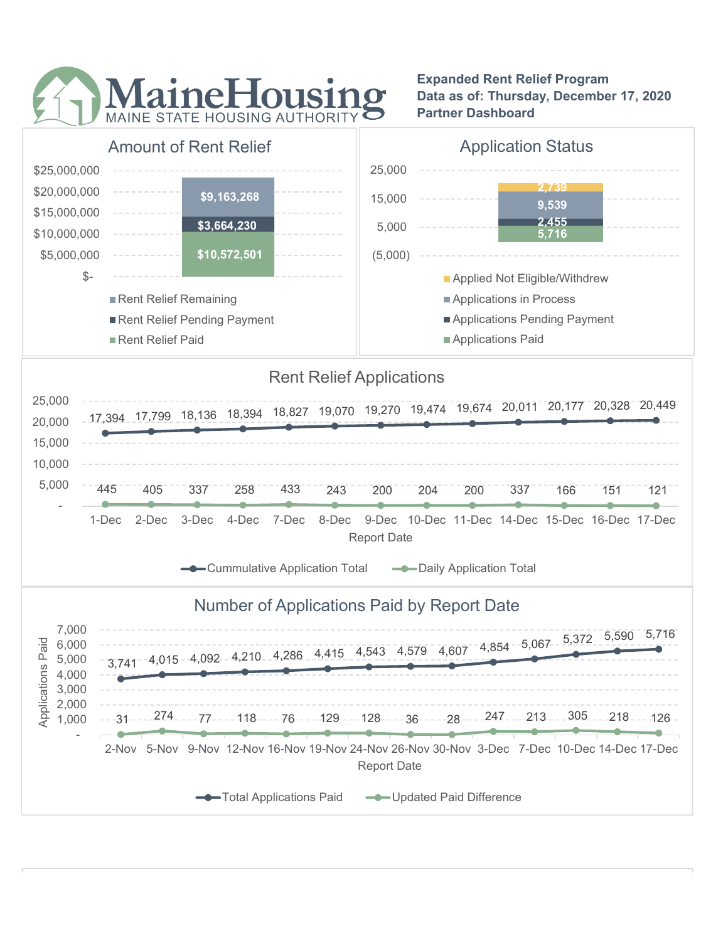

Expanded Rent Relief Program Data as of: Thursday, December 17, 2020 Partner Dashboard